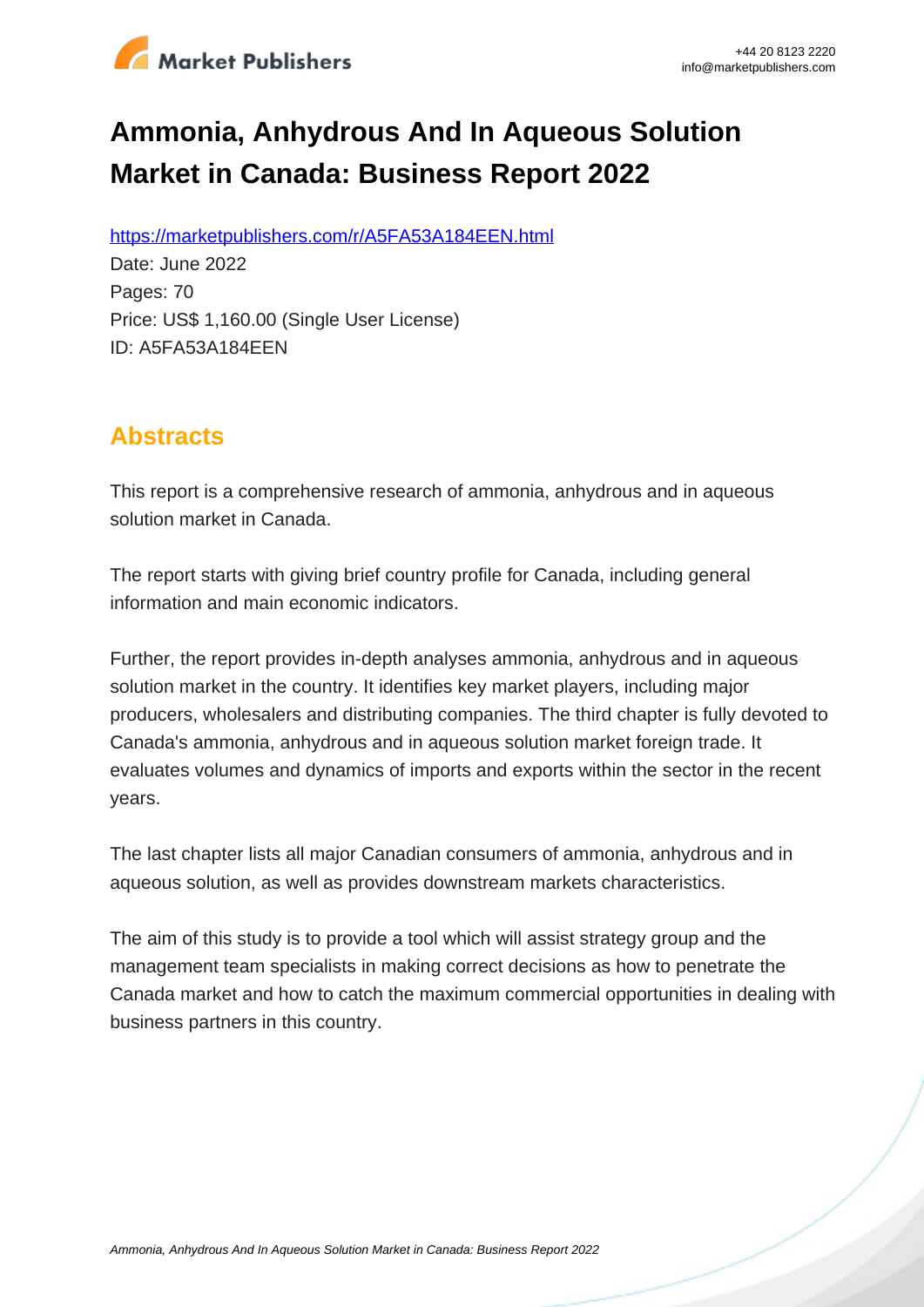

# **Ammonia, Anhydrous And In Aqueous Solution Market in Canada: Business Report 2022**

https://marketpublishers.com/r/A5FA53A184EEN.html

Date: June 2022 Pages: 70 Price: US\$ 1,160.00 (Single User License) ID: A5FA53A184EEN

# **Abstracts**

This report is a comprehensive research of ammonia, anhydrous and in aqueous solution market in Canada.

The report starts with giving brief country profile for Canada, including general information and main economic indicators.

Further, the report provides in-depth analyses ammonia, anhydrous and in aqueous solution market in the country. It identifies key market players, including major producers, wholesalers and distributing companies. The third chapter is fully devoted to Canada's ammonia, anhydrous and in aqueous solution market foreign trade. It evaluates volumes and dynamics of imports and exports within the sector in the recent years.

The last chapter lists all major Canadian consumers of ammonia, anhydrous and in aqueous solution, as well as provides downstream markets characteristics.

The aim of this study is to provide a tool which will assist strategy group and the management team specialists in making correct decisions as how to penetrate the Canada market and how to catch the maximum commercial opportunities in dealing with business partners in this country.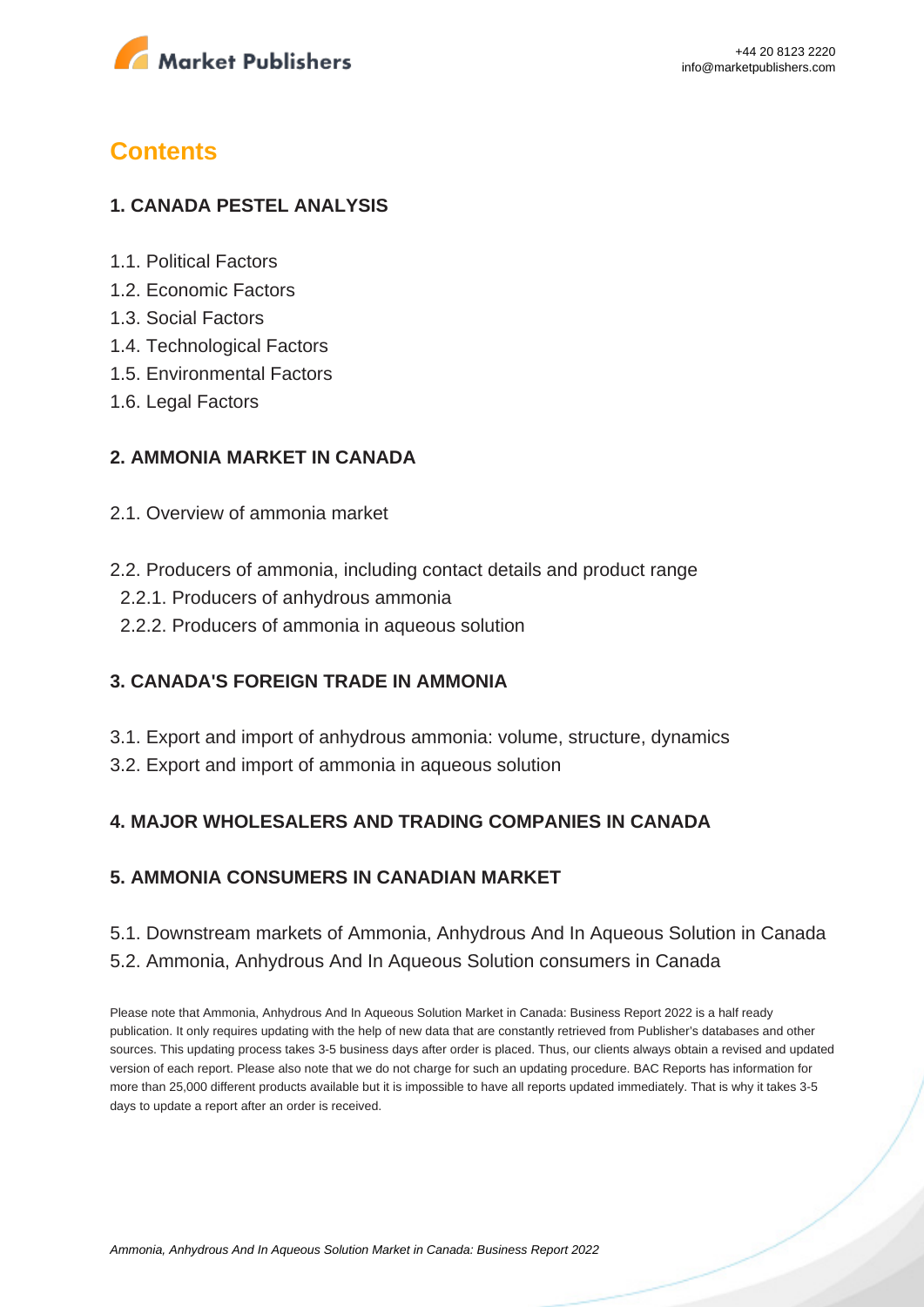

## **Contents**

#### **1. CANADA PESTEL ANALYSIS**

- 1.1. Political Factors
- 1.2. Economic Factors
- 1.3. Social Factors
- 1.4. Technological Factors
- 1.5. Environmental Factors
- 1.6. Legal Factors

#### **2. AMMONIA MARKET IN CANADA**

- 2.1. Overview of ammonia market
- 2.2. Producers of ammonia, including contact details and product range
	- 2.2.1. Producers of anhydrous ammonia
	- 2.2.2. Producers of ammonia in aqueous solution

#### **3. CANADA'S FOREIGN TRADE IN AMMONIA**

- 3.1. Export and import of anhydrous ammonia: volume, structure, dynamics
- 3.2. Export and import of ammonia in aqueous solution

#### **4. MAJOR WHOLESALERS AND TRADING COMPANIES IN CANADA**

#### **5. AMMONIA CONSUMERS IN CANADIAN MARKET**

### 5.1. Downstream markets of Ammonia, Anhydrous And In Aqueous Solution in Canada 5.2. Ammonia, Anhydrous And In Aqueous Solution consumers in Canada

Please note that Ammonia, Anhydrous And In Aqueous Solution Market in Canada: Business Report 2022 is a half ready publication. It only requires updating with the help of new data that are constantly retrieved from Publisher's databases and other sources. This updating process takes 3-5 business days after order is placed. Thus, our clients always obtain a revised and updated version of each report. Please also note that we do not charge for such an updating procedure. BAC Reports has information for more than 25,000 different products available but it is impossible to have all reports updated immediately. That is why it takes 3-5 days to update a report after an order is received.